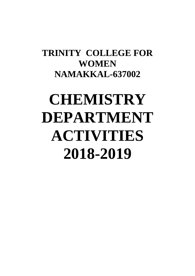# **TRINITY COLLEGE FOR WOMEN NAMAKKAL-637002**

# **CHEMISTRY DEPARTMENT ACTIVITIES 2018-2019**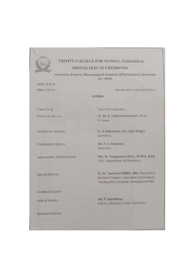## TRINITY COLLEGE FOR WOMEN, NAMAKKAL

### **ASSOCIATION OF CHEMISTRY**

Awareness Event on Pharmalogical chemistry &Psychological Awareness for Adults

DATE: 04.01.19

**TIME: 2.00 P.M** 

VENUE: MINI CONFERENCE HALL

#### **AGENDA**

| Prayer Song                 | Tamil Thai Vazhuthu                                                                                                           |
|-----------------------------|-------------------------------------------------------------------------------------------------------------------------------|
| <b>Welcome Address</b>      | Dr. M. R. Lakshiminarayanan, Ph.D.,<br>Principal,                                                                             |
| <b>Felicitation Address</b> | Er. K. Nallusamy, B.E., (Agri.Engg,)<br>Secretary,                                                                            |
| <b>Presidential Address</b> | Mr. P. K. Sengodan,<br>Chairman,                                                                                              |
| Introduction of Chief Guest | Mrs. N. Thangamani, M.Sc., M.Phil., B.Ed,<br>HOD, Department of Chemistry,                                                    |
| <b>Special Address</b>      | Dr. M. Tamilselvi MBBS., MD. (Psychiatry)<br>Assistant Surgeon, Namakkal Government<br>Headquarters Hospital, Namakkal-637001 |
| <b>Feedback Session</b>     |                                                                                                                               |
| Vote of thanks              | Ms. P. Keerthana,<br>III B.Sc., Chemistry, Dept. Secretary                                                                    |
| National Anthem             |                                                                                                                               |
|                             |                                                                                                                               |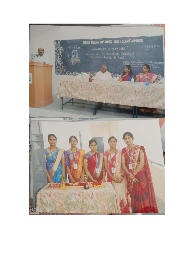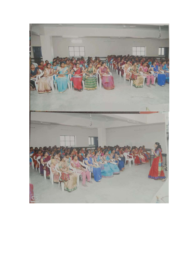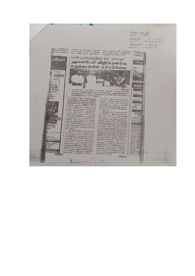